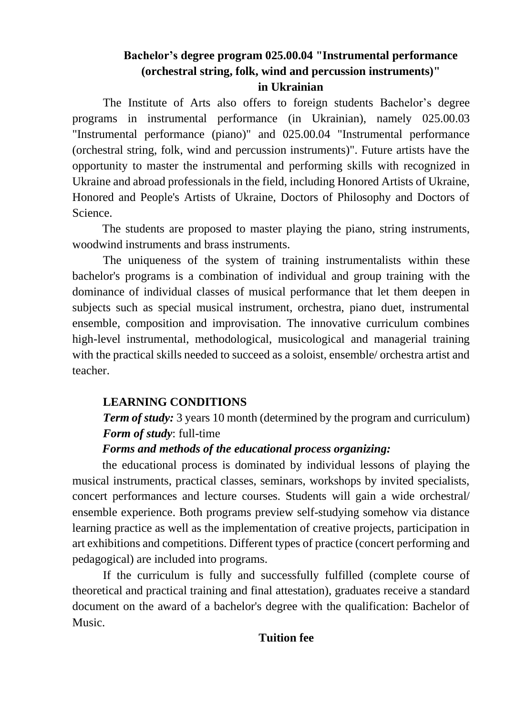#### **Bachelor's degree program 025.00.04 "Instrumental performance (orchestral string, folk, wind and percussion instruments)" in Ukrainian**

The Institute of Arts also offers to foreign students Bachelor's degree programs in instrumental performance (in Ukrainian), namely 025.00.03 "Instrumental performance (piano)" and 025.00.04 "Instrumental performance (orchestral string, folk, wind and percussion instruments)". Future artists have the opportunity to master the instrumental and performing skills with recognized in Ukraine and abroad professionals in the field, including Honored Artists of Ukraine, Honored and People's Artists of Ukraine, Doctors of Philosophy and Doctors of Science.

The students are proposed to master playing the piano, string instruments, woodwind instruments and brass instruments.

The uniqueness of the system of training instrumentalists within these bachelor's programs is a combination of individual and group training with the dominance of individual classes of musical performance that let them deepen in subjects such as special musical instrument, orchestra, piano duet, instrumental ensemble, composition and improvisation. The innovative curriculum combines high-level instrumental, methodological, musicological and managerial training with the practical skills needed to succeed as a soloist, ensemble/ orchestra artist and teacher.

### **LEARNING CONDITIONS**

# *Term of study:* 3 years 10 month (determined by the program and curriculum) *Form of study*: full-time

#### *Forms and methods of the educational process organizing:*

the educational process is dominated by individual lessons of playing the musical instruments, practical classes, seminars, workshops by invited specialists, concert performances and lecture courses. Students will gain a wide orchestral/ ensemble experience. Both programs preview self-studying somehow via distance learning practice as well as the implementation of creative projects, participation in art exhibitions and competitions. Different types of practice (concert performing and pedagogical) are included into programs.

If the curriculum is fully and successfully fulfilled (complete course of theoretical and practical training and final attestation), graduates receive a standard document on the award of a bachelor's degree with the qualification: Bachelor of Music.

### **Tuition fee**